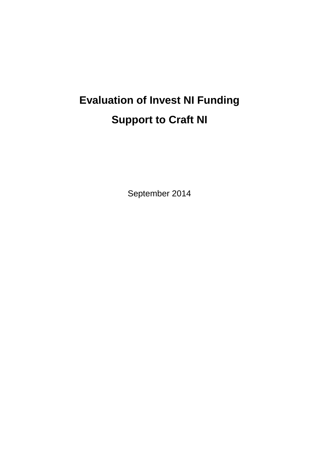# **Evaluation of Invest NI Funding Support to Craft NI**

September 2014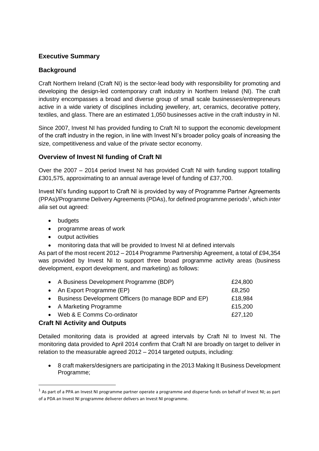# **Executive Summary**

## **Background**

Craft Northern Ireland (Craft NI) is the sector-lead body with responsibility for promoting and developing the design-led contemporary craft industry in Northern Ireland (NI). The craft industry encompasses a broad and diverse group of small scale businesses/entrepreneurs active in a wide variety of disciplines including jewellery, art, ceramics, decorative pottery, textiles, and glass. There are an estimated 1,050 businesses active in the craft industry in NI.

Since 2007, Invest NI has provided funding to Craft NI to support the economic development of the craft industry in the region, in line with Invest NI's broader policy goals of increasing the size, competitiveness and value of the private sector economy.

## **Overview of Invest NI funding of Craft NI**

Over the 2007 – 2014 period Invest NI has provided Craft NI with funding support totalling £301,575, approximating to an annual average level of funding of £37,700.

Invest NI's funding support to Craft NI is provided by way of Programme Partner Agreements (PPAs)/Programme Delivery Agreements (PDAs), for defined programme periods<sup>1</sup>, which *inter alia* set out agreed:

- budgets
- programme areas of work
- output activities
- monitoring data that will be provided to Invest NI at defined intervals

As part of the most recent 2012 – 2014 Programme Partnership Agreement, a total of £94,354 was provided by Invest NI to support three broad programme activity areas (business development, export development, and marketing) as follows:

|           | • A Business Development Programme (BDP)                 | £24,800 |
|-----------|----------------------------------------------------------|---------|
|           | • An Export Programme (EP)                               | £8,250  |
|           | • Business Development Officers (to manage BDP and EP)   | £18,984 |
|           | • A Marketing Programme                                  | £15,200 |
| $\bullet$ | Web & E Comms Co-ordinator                               | £27,120 |
|           | $\mathcal{L}$ all $\Lambda$ attains and $\Lambda$ starts |         |

## **Craft NI Activity and Outputs**

**.** 

Detailed monitoring data is provided at agreed intervals by Craft NI to Invest NI. The monitoring data provided to April 2014 confirm that Craft NI are broadly on target to deliver in relation to the measurable agreed 2012 – 2014 targeted outputs, including:

 8 craft makers/designers are participating in the 2013 Making It Business Development Programme;

 $^1$  As part of a PPA an Invest NI programme partner operate a programme and disperse funds on behalf of Invest NI; as part of a PDA an Invest NI programme deliverer delivers an Invest NI programme.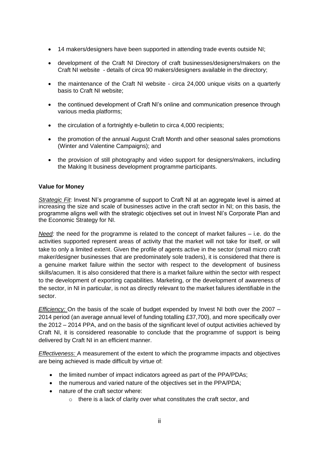- 14 makers/designers have been supported in attending trade events outside NI;
- development of the Craft NI Directory of craft businesses/designers/makers on the Craft NI website - details of circa 90 makers/designers available in the directory;
- the maintenance of the Craft NI website circa 24,000 unique visits on a quarterly basis to Craft NI website;
- the continued development of Craft NI's online and communication presence through various media platforms;
- the circulation of a fortnightly e-bulletin to circa 4,000 recipients;
- the promotion of the annual August Craft Month and other seasonal sales promotions (Winter and Valentine Campaigns); and
- the provision of still photography and video support for designers/makers, including the Making It business development programme participants.

#### **Value for Money**

*Strategic Fit*: Invest NI's programme of support to Craft NI at an aggregate level is aimed at increasing the size and scale of businesses active in the craft sector in NI; on this basis, the programme aligns well with the strategic objectives set out in Invest NI's Corporate Plan and the Economic Strategy for NI.

*Need:* the need for the programme is related to the concept of market failures – i.e. do the activities supported represent areas of activity that the market will not take for itself, or will take to only a limited extent. Given the profile of agents active in the sector (small micro craft maker/designer businesses that are predominately sole traders), it is considered that there is a genuine market failure within the sector with respect to the development of business skills/acumen. It is also considered that there is a market failure within the sector with respect to the development of exporting capabilities. Marketing, or the development of awareness of the sector, in NI in particular, is not as directly relevant to the market failures identifiable in the sector.

*Efficiency:* On the basis of the scale of budget expended by Invest NI both over the 2007 – 2014 period (an average annual level of funding totalling £37,700), and more specifically over the 2012 – 2014 PPA, and on the basis of the significant level of output activities achieved by Craft NI, it is considered reasonable to conclude that the programme of support is being delivered by Craft NI in an efficient manner.

*Effectiveness:* A measurement of the extent to which the programme impacts and objectives are being achieved is made difficult by virtue of:

- the limited number of impact indicators agreed as part of the PPA/PDAs;
- the numerous and varied nature of the objectives set in the PPA/PDA;
- nature of the craft sector where:
	- o there is a lack of clarity over what constitutes the craft sector, and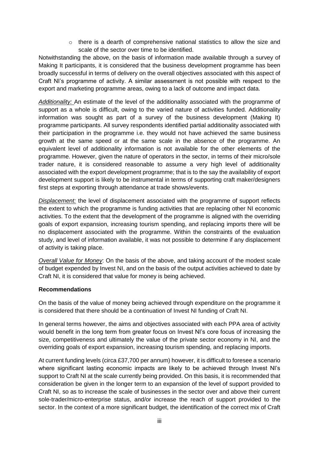$\circ$  there is a dearth of comprehensive national statistics to allow the size and scale of the sector over time to be identified.

Notwithstanding the above, on the basis of information made available through a survey of Making It participants, it is considered that the business development programme has been broadly successful in terms of delivery on the overall objectives associated with this aspect of Craft NI's programme of activity. A similar assessment is not possible with respect to the export and marketing programme areas, owing to a lack of outcome and impact data.

*Additionality:* An estimate of the level of the additionality associated with the programme of support as a whole is difficult, owing to the varied nature of activities funded. Additionality information was sought as part of a survey of the business development (Making It) programme participants. All survey respondents identified partial additionality associated with their participation in the programme i.e. they would not have achieved the same business growth at the same speed or at the same scale in the absence of the programme. An equivalent level of additionality information is not available for the other elements of the programme. However, given the nature of operators in the sector, in terms of their micro/sole trader nature, it is considered reasonable to assume a very high level of additionality associated with the export development programme; that is to the say the availability of export development support is likely to be instrumental in terms of supporting craft maker/designers first steps at exporting through attendance at trade shows/events.

*Displacement:* the level of displacement associated with the programme of support reflects the extent to which the programme is funding activities that are replacing other NI economic activities. To the extent that the development of the programme is aligned with the overriding goals of export expansion, increasing tourism spending, and replacing imports there will be no displacement associated with the programme. Within the constraints of the evaluation study, and level of information available, it was not possible to determine if any displacement of activity is taking place.

*Overall Value for Money*: On the basis of the above, and taking account of the modest scale of budget expended by Invest NI, and on the basis of the output activities achieved to date by Craft NI, it is considered that value for money is being achieved.

#### **Recommendations**

On the basis of the value of money being achieved through expenditure on the programme it is considered that there should be a continuation of Invest NI funding of Craft NI.

In general terms however, the aims and objectives associated with each PPA area of activity would benefit in the long term from greater focus on Invest NI's core focus of increasing the size, competitiveness and ultimately the value of the private sector economy in NI, and the overriding goals of export expansion, increasing tourism spending, and replacing imports.

At current funding levels (circa £37,700 per annum) however, it is difficult to foresee a scenario where significant lasting economic impacts are likely to be achieved through Invest NI's support to Craft NI at the scale currently being provided. On this basis, it is recommended that consideration be given in the longer term to an expansion of the level of support provided to Craft NI, so as to increase the scale of businesses in the sector over and above their current sole-trader/micro-enterprise status, and/or increase the reach of support provided to the sector. In the context of a more significant budget, the identification of the correct mix of Craft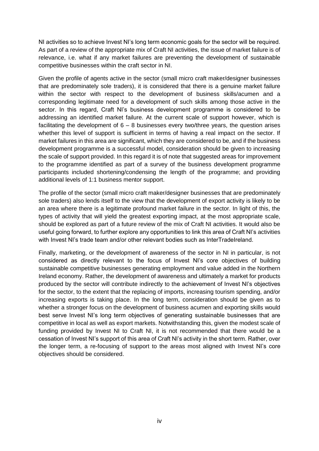NI activities so to achieve Invest NI's long term economic goals for the sector will be required. As part of a review of the appropriate mix of Craft NI activities, the issue of market failure is of relevance, i.e. what if any market failures are preventing the development of sustainable competitive businesses within the craft sector in NI.

Given the profile of agents active in the sector (small micro craft maker/designer businesses that are predominately sole traders), it is considered that there is a genuine market failure within the sector with respect to the development of business skills/acumen and a corresponding legitimate need for a development of such skills among those active in the sector. In this regard, Craft NI's business development programme is considered to be addressing an identified market failure. At the current scale of support however, which is facilitating the development of  $6 - 8$  businesses every two/three years, the question arises whether this level of support is sufficient in terms of having a real impact on the sector. If market failures in this area are significant, which they are considered to be, and if the business development programme is a successful model, consideration should be given to increasing the scale of support provided. In this regard it is of note that suggested areas for improvement to the programme identified as part of a survey of the business development programme participants included shortening/condensing the length of the programme; and providing additional levels of 1:1 business mentor support.

The profile of the sector (small micro craft maker/designer businesses that are predominately sole traders) also lends itself to the view that the development of export activity is likely to be an area where there is a legitimate profound market failure in the sector. In light of this, the types of activity that will yield the greatest exporting impact, at the most appropriate scale, should be explored as part of a future review of the mix of Craft NI activities. It would also be useful going forward, to further explore any opportunities to link this area of Craft NI's activities with Invest NI's trade team and/or other relevant bodies such as InterTradeIreland.

Finally, marketing, or the development of awareness of the sector in NI in particular, is not considered as directly relevant to the focus of Invest NI's core objectives of building sustainable competitive businesses generating employment and value added in the Northern Ireland economy. Rather, the development of awareness and ultimately a market for products produced by the sector will contribute indirectly to the achievement of Invest NI's objectives for the sector, to the extent that the replacing of imports, increasing tourism spending, and/or increasing exports is taking place. In the long term, consideration should be given as to whether a stronger focus on the development of business acumen and exporting skills would best serve Invest NI's long term objectives of generating sustainable businesses that are competitive in local as well as export markets. Notwithstanding this, given the modest scale of funding provided by Invest NI to Craft NI, it is not recommended that there would be a cessation of Invest NI's support of this area of Craft NI's activity in the short term. Rather, over the longer term, a re-focusing of support to the areas most aligned with Invest NI's core objectives should be considered.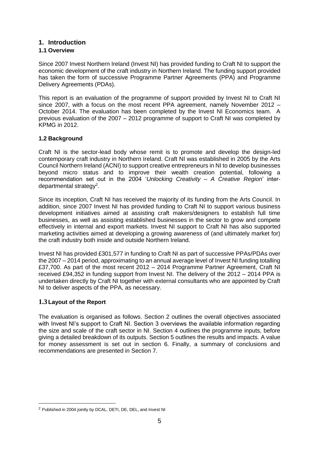#### **1. Introduction**

#### **1.1 Overview**

Since 2007 Invest Northern Ireland (Invest NI) has provided funding to Craft NI to support the economic development of the craft industry in Northern Ireland. The funding support provided has taken the form of successive Programme Partner Agreements (PPA) and Programme Delivery Agreements (PDAs).

This report is an evaluation of the programme of support provided by Invest NI to Craft NI since 2007, with a focus on the most recent PPA agreement, namely November 2012 – October 2014. The evaluation has been completed by the Invest NI Economics team. A previous evaluation of the 2007 – 2012 programme of support to Craft NI was completed by KPMG in 2012.

#### **1.2 Background**

Craft NI is the sector-lead body whose remit is to promote and develop the design-led contemporary craft industry in Northern Ireland. Craft NI was established in 2005 by the Arts Council Northern Ireland (ACNI) to support creative entrepreneurs in NI to develop businesses beyond micro status and to improve their wealth creation potential, following a recommendation set out in the 2004 '*Unlocking Creativity – A Creative Region*' interdepartmental strategy<sup>2</sup>.

Since its inception, Craft NI has received the majority of its funding from the Arts Council. In addition, since 2007 Invest NI has provided funding to Craft NI to support various business development initiatives aimed at assisting craft makers/designers to establish full time businesses, as well as assisting established businesses in the sector to grow and compete effectively in internal and export markets. Invest NI support to Craft NI has also supported marketing activities aimed at developing a growing awareness of (and ultimately market for) the craft industry both inside and outside Northern Ireland.

Invest NI has provided £301,577 in funding to Craft NI as part of successive PPAs/PDAs over the 2007 – 2014 period, approximating to an annual average level of Invest NI funding totalling £37,700. As part of the most recent 2012 – 2014 Programme Partner Agreement, Craft NI received £94,352 in funding support from Invest NI. The delivery of the 2012 – 2014 PPA is undertaken directly by Craft NI together with external consultants who are appointed by Craft NI to deliver aspects of the PPA, as necessary.

## **1.3 Layout of the Report**

**.** 

The evaluation is organised as follows. Section 2 outlines the overall objectives associated with Invest NI's support to Craft NI. Section 3 overviews the available information regarding the size and scale of the craft sector in NI. Section 4 outlines the programme inputs, before giving a detailed breakdown of its outputs. Section 5 outlines the results and impacts. A value for money assessment is set out in section 6. Finally, a summary of conclusions and recommendations are presented in Section 7.

<sup>2</sup> Published in 2004 jointly by DCAL, DETI, DE, DEL, and Invest NI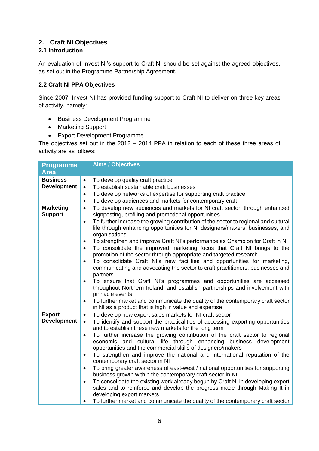# **2. Craft NI Objectives**

# **2.1 Introduction**

An evaluation of Invest NI's support to Craft NI should be set against the agreed objectives, as set out in the Programme Partnership Agreement.

# **2.2 Craft NI PPA Objectives**

Since 2007, Invest NI has provided funding support to Craft NI to deliver on three key areas of activity, namely:

- Business Development Programme
- Marketing Support
- Export Development Programme

The objectives set out in the 2012 – 2014 PPA in relation to each of these three areas of activity are as follows:

| <b>Programme</b>   | <b>Aims / Objectives</b>                                                                                                                                    |
|--------------------|-------------------------------------------------------------------------------------------------------------------------------------------------------------|
| <b>Area</b>        |                                                                                                                                                             |
| <b>Business</b>    | To develop quality craft practice<br>$\bullet$                                                                                                              |
| <b>Development</b> | To establish sustainable craft businesses<br>$\bullet$                                                                                                      |
|                    | To develop networks of expertise for supporting craft practice<br>$\bullet$                                                                                 |
|                    | To develop audiences and markets for contemporary craft<br>$\bullet$                                                                                        |
| <b>Marketing</b>   | To develop new audiences and markets for NI craft sector, through enhanced<br>$\bullet$                                                                     |
| <b>Support</b>     | signposting, profiling and promotional opportunities                                                                                                        |
|                    | To further increase the growing contribution of the sector to regional and cultural<br>$\bullet$                                                            |
|                    | life through enhancing opportunities for NI designers/makers, businesses, and                                                                               |
|                    | organisations                                                                                                                                               |
|                    | To strengthen and improve Craft NI's performance as Champion for Craft in NI<br>$\bullet$                                                                   |
|                    | To consolidate the improved marketing focus that Craft NI brings to the<br>$\bullet$                                                                        |
|                    | promotion of the sector through appropriate and targeted research<br>To consolidate Craft NI's new facilities and opportunities for marketing,<br>$\bullet$ |
|                    | communicating and advocating the sector to craft practitioners, businesses and                                                                              |
|                    | partners                                                                                                                                                    |
|                    | To ensure that Craft NI's programmes and opportunities are accessed                                                                                         |
|                    | throughout Northern Ireland, and establish partnerships and involvement with                                                                                |
|                    | pinnacle events                                                                                                                                             |
|                    | To further market and communicate the quality of the contemporary craft sector<br>$\bullet$                                                                 |
|                    | in NI as a product that is high in value and expertise                                                                                                      |
| <b>Export</b>      | To develop new export sales markets for NI craft sector<br>$\bullet$                                                                                        |
| <b>Development</b> | To identify and support the practicalities of accessing exporting opportunities<br>$\bullet$                                                                |
|                    | and to establish these new markets for the long term                                                                                                        |
|                    | To further increase the growing contribution of the craft sector to regional<br>$\bullet$                                                                   |
|                    | economic and cultural life through enhancing business development                                                                                           |
|                    | opportunities and the commercial skills of designers/makers                                                                                                 |
|                    | To strengthen and improve the national and international reputation of the<br>$\bullet$<br>contemporary craft sector in NI                                  |
|                    | To bring greater awareness of east-west / national opportunities for supporting<br>$\bullet$                                                                |
|                    | business growth within the contemporary craft sector in NI                                                                                                  |
|                    | To consolidate the existing work already begun by Craft NI in developing export<br>$\bullet$                                                                |
|                    | sales and to reinforce and develop the progress made through Making It in                                                                                   |
|                    | developing export markets                                                                                                                                   |
|                    | To further market and communicate the quality of the contemporary craft sector<br>$\bullet$                                                                 |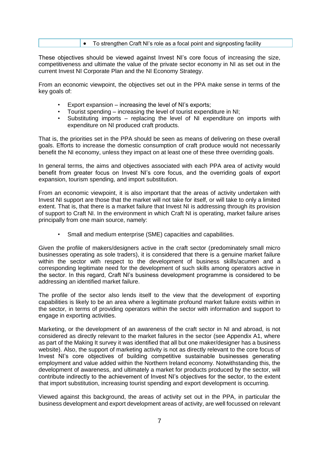#### • To strengthen Craft NI's role as a focal point and signposting facility

These objectives should be viewed against Invest NI's core focus of increasing the size, competitiveness and ultimate the value of the private sector economy in NI as set out in the current Invest NI Corporate Plan and the NI Economy Strategy.

From an economic viewpoint, the objectives set out in the PPA make sense in terms of the key goals of:

- Export expansion increasing the level of NI's exports;
- Tourist spending increasing the level of tourist expenditure in NI;
- Substituting imports replacing the level of NI expenditure on imports with expenditure on NI produced craft products.

That is, the priorities set in the PPA should be seen as means of delivering on these overall goals. Efforts to increase the domestic consumption of craft produce would not necessarily benefit the NI economy, unless they impact on at least one of these three overriding goals.

In general terms, the aims and objectives associated with each PPA area of activity would benefit from greater focus on Invest NI's core focus, and the overriding goals of export expansion, tourism spending, and import substitution.

From an economic viewpoint, it is also important that the areas of activity undertaken with Invest NI support are those that the market will not take for itself, or will take to only a limited extent. That is, that there is a market failure that Invest NI is addressing through its provision of support to Craft NI. In the environment in which Craft NI is operating, market failure arises principally from one main source, namely:

• Small and medium enterprise (SME) capacities and capabilities.

Given the profile of makers/designers active in the craft sector (predominately small micro businesses operating as sole traders), it is considered that there is a genuine market failure within the sector with respect to the development of business skills/acumen and a corresponding legitimate need for the development of such skills among operators active in the sector. In this regard, Craft NI's business development programme is considered to be addressing an identified market failure.

The profile of the sector also lends itself to the view that the development of exporting capabilities is likely to be an area where a legitimate profound market failure exists within in the sector, in terms of providing operators within the sector with information and support to engage in exporting activities.

Marketing, or the development of an awareness of the craft sector in NI and abroad, is not considered as directly relevant to the market failures in the sector (see Appendix A1, where as part of the Making It survey it was identified that all but one maker/designer has a business website). Also, the support of marketing activity is not as directly relevant to the core focus of Invest NI's core objectives of building competitive sustainable businesses generating employment and value added within the Northern Ireland economy. Notwithstanding this, the development of awareness, and ultimately a market for products produced by the sector, will contribute indirectly to the achievement of Invest NI's objectives for the sector, to the extent that import substitution, increasing tourist spending and export development is occurring.

Viewed against this background, the areas of activity set out in the PPA, in particular the business development and export development areas of activity, are well focussed on relevant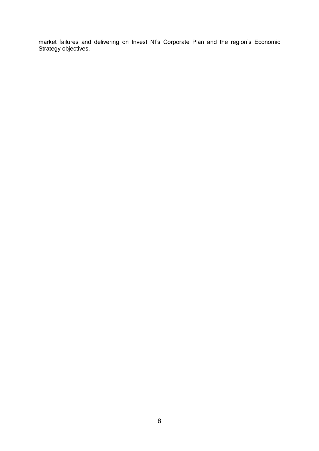market failures and delivering on Invest NI's Corporate Plan and the region's Economic Strategy objectives.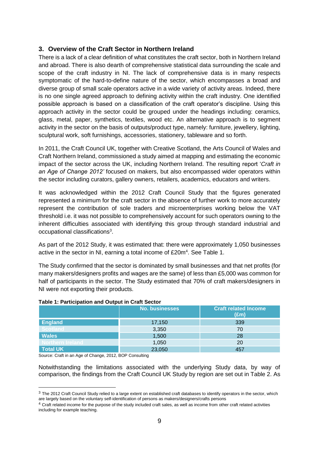## **3. Overview of the Craft Sector in Northern Ireland**

There is a lack of a clear definition of what constitutes the craft sector, both in Northern Ireland and abroad. There is also dearth of comprehensive statistical data surrounding the scale and scope of the craft industry in NI. The lack of comprehensive data is in many respects symptomatic of the hard-to-define nature of the sector, which encompasses a broad and diverse group of small scale operators active in a wide variety of activity areas. Indeed, there is no one single agreed approach to defining activity within the craft industry. One identified possible approach is based on a classification of the craft operator's discipline. Using this approach activity in the sector could be grouped under the headings including: ceramics, glass, metal, paper, synthetics, textiles, wood etc. An alternative approach is to segment activity in the sector on the basis of outputs/product type, namely: furniture, jewellery, lighting, sculptural work, soft furnishings, accessories, stationery, tableware and so forth.

In 2011, the Craft Council UK, together with Creative Scotland, the Arts Council of Wales and Craft Northern Ireland, commissioned a study aimed at mapping and estimating the economic impact of the sector across the UK, including Northern Ireland. The resulting report '*Craft in an Age of Change 2012'* focused on makers, but also encompassed wider operators within the sector including curators, gallery owners, retailers, academics, educators and writers.

It was acknowledged within the 2012 Craft Council Study that the figures generated represented a minimum for the craft sector in the absence of further work to more accurately represent the contribution of sole traders and microenterprises working below the VAT threshold i.e. it was not possible to comprehensively account for such operators owning to the inherent difficulties associated with identifying this group through standard industrial and occupational classifications<sup>3</sup>.

As part of the 2012 Study, it was estimated that: there were approximately 1,050 businesses active in the sector in NI, earning a total income of £20m<sup>4</sup>. See Table 1.

The Study confirmed that the sector is dominated by small businesses and that net profits (for many makers/designers profits and wages are the same) of less than £5,000 was common for half of participants in the sector. The Study estimated that 70% of craft makers/designers in NI were not exporting their products.

|                         | No. businesses | <b>Craft related Income</b><br>$(\text{Em})$ |
|-------------------------|----------------|----------------------------------------------|
| <b>England</b>          | 17,150         | 339                                          |
| <b>Scotland</b>         | 3,350          | 70                                           |
| <b>Wales</b>            | 1,500          | 28                                           |
| <b>Northern Ireland</b> | 1,050          | 20                                           |
| <b>Total UK</b>         | 23,050         | 457                                          |

#### **Table 1: Participation and Output in Craft Sector**

Source: Craft in an Age of Change, 2012, BOP Consulting

**.** 

Notwithstanding the limitations associated with the underlying Study data, by way of comparison, the findings from the Craft Council UK Study by region are set out in Table 2. As

<sup>&</sup>lt;sup>3</sup> The 2012 Craft Council Study relied to a large extent on established craft databases to identify operators in the sector, which are largely based on the voluntary self-identification of persons as makers/designers/crafts persons

<sup>4</sup> Craft related income for the purpose of the study included craft sales, as well as income from other craft related activities including for example teaching.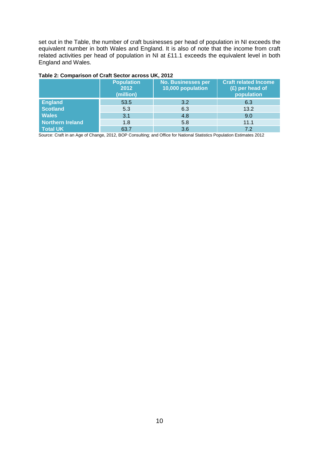set out in the Table, the number of craft businesses per head of population in NI exceeds the equivalent number in both Wales and England. It is also of note that the income from craft related activities per head of population in NI at £11.1 exceeds the equivalent level in both England and Wales.

|                  | <b>Population</b><br>2012<br>(million) | <b>No. Businesses per</b><br>10,000 population | <b>Craft related Income</b><br>$\mathbf{E}$ ) per head of<br>population |
|------------------|----------------------------------------|------------------------------------------------|-------------------------------------------------------------------------|
| <b>England</b>   | 53.5                                   | 3.2                                            | 6.3                                                                     |
| <b>Scotland</b>  | 5.3                                    | 6.3                                            | 13.2                                                                    |
| <b>Wales</b>     | 3.1                                    | 4.8                                            | 9.0                                                                     |
| Northern Ireland | 1.8                                    | 5.8                                            | 11.1                                                                    |
| <b>Total UK</b>  | 63.7                                   | 3.6                                            | 7.2                                                                     |

#### **Table 2: Comparison of Craft Sector across UK, 2012**

Source: Craft in an Age of Change, 2012, BOP Consulting; and Office for National Statistics Population Estimates 2012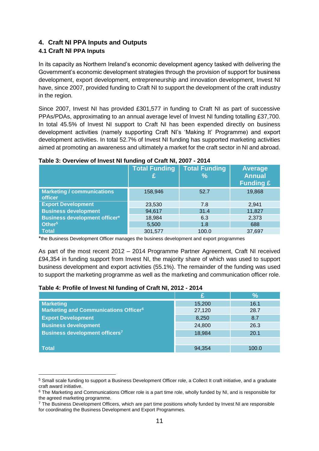# **4. Craft NI PPA Inputs and Outputs**

# **4.1 Craft NI PPA Inputs**

**.** 

In its capacity as Northern Ireland's economic development agency tasked with delivering the Government's economic development strategies through the provision of support for business development, export development, entrepreneurship and innovation development, Invest NI have, since 2007, provided funding to Craft NI to support the development of the craft industry in the region.

Since 2007, Invest NI has provided £301,577 in funding to Craft NI as part of successive PPAs/PDAs, approximating to an annual average level of Invest NI funding totalling £37,700. In total 45.5% of Invest NI support to Craft NI has been expended directly on business development activities (namely supporting Craft NI's 'Making It' Programme) and export development activities. In total 52.7% of Invest NI funding has supported marketing activities aimed at promoting an awareness and ultimately a market for the craft sector in NI and abroad.

|                                                     | <b>Total Funding</b> | <b>Total Funding</b><br>$\%$ | <b>Average</b><br><b>Annual</b><br><b>Funding £</b> |
|-----------------------------------------------------|----------------------|------------------------------|-----------------------------------------------------|
| <b>Marketing / communications</b><br><b>officer</b> | 158,946              | 52.7                         | 19,868                                              |
| <b>Export Development</b>                           | 23,530               | 7.8                          | 2,941                                               |
| <b>Business development</b>                         | 94,617               | 31.4                         | 11,827                                              |
| <b>Business development officer*</b>                | 18,984               | 6.3                          | 2,373                                               |
| Other <sup>5</sup>                                  | 5,500                | 1.8                          | 688                                                 |
| <b>Total</b>                                        | 301,577              | 100.0                        | 37,697                                              |

#### **Table 3: Overview of Invest NI funding of Craft NI, 2007 - 2014**

\*the Business Development Officer manages the business development and export programmes

As part of the most recent 2012 – 2014 Programme Partner Agreement, Craft NI received £94,354 in funding support from Invest NI, the majority share of which was used to support business development and export activities (55.1%). The remainder of the funding was used to support the marketing programme as well as the marketing and communication officer role.

## **Table 4: Profile of Invest NI funding of Craft NI, 2012 - 2014**

|                                                   |        | $\frac{9}{6}$ |
|---------------------------------------------------|--------|---------------|
| <b>Marketing</b>                                  | 15,200 | 16.1          |
| Marketing and Communications Officer <sup>6</sup> | 27,120 | 28.7          |
| <b>Export Development</b>                         | 8,250  | 8.7           |
| <b>Business development</b>                       | 24,800 | 26.3          |
| Business development officers <sup>7</sup>        | 18,984 | 20.1          |
|                                                   |        |               |
| <b>Total</b>                                      | 94.354 | 100.0         |

<sup>5</sup> Small scale funding to support a Business Development Officer role, a Collect It craft initiative, and a graduate craft award initiative.

<sup>&</sup>lt;sup>6</sup> The Marketing and Communications Officer role is a part time role, wholly funded by NI, and is responsible for the agreed marketing programme.

<sup>7</sup> The Business Development Officers, which are part time positions wholly funded by Invest NI are responsible for coordinating the Business Development and Export Programmes.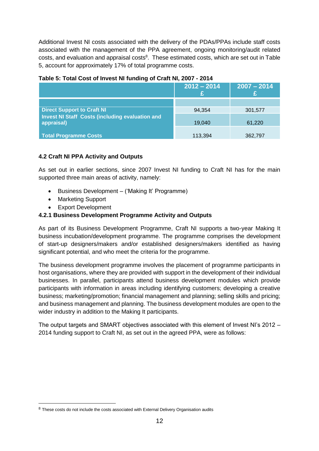Additional Invest NI costs associated with the delivery of the PDAs/PPAs include staff costs associated with the management of the PPA agreement, ongoing monitoring/audit related costs, and evaluation and appraisal costs<sup>8</sup>. These estimated costs, which are set out in Table 5, account for approximately 17% of total programme costs.

| $10000$ . Total 000t of introduction and in granting contracts for $\tau$ |               |               |
|---------------------------------------------------------------------------|---------------|---------------|
|                                                                           | $2012 - 2014$ | $2007 - 2014$ |
|                                                                           |               |               |
| <b>Direct Support to Craft NI</b>                                         | 94.354        | 301,577       |
| Invest NI Staff Costs (including evaluation and<br>appraisal)             | 19.040        | 61,220        |
| <b>Total Programme Costs</b>                                              | 113,394       | 362,797       |

# **Table 5: Total Cost of Invest NI funding of Craft NI, 2007 - 2014**

## **4.2 Craft NI PPA Activity and Outputs**

As set out in earlier sections, since 2007 Invest NI funding to Craft NI has for the main supported three main areas of activity, namely:

- Business Development ('Making It' Programme)
- Marketing Support

**.** 

Export Development

## **4.2.1 Business Development Programme Activity and Outputs**

As part of its Business Development Programme, Craft NI supports a two-year Making It business incubation/development programme. The programme comprises the development of start-up designers/makers and/or established designers/makers identified as having significant potential, and who meet the criteria for the programme.

The business development programme involves the placement of programme participants in host organisations, where they are provided with support in the development of their individual businesses. In parallel, participants attend business development modules which provide participants with information in areas including identifying customers; developing a creative business; marketing/promotion; financial management and planning; selling skills and pricing; and business management and planning. The business development modules are open to the wider industry in addition to the Making It participants.

The output targets and SMART objectives associated with this element of Invest NI's 2012 – 2014 funding support to Craft NI, as set out in the agreed PPA, were as follows:

<sup>&</sup>lt;sup>8</sup> These costs do not include the costs associated with External Delivery Organisation audits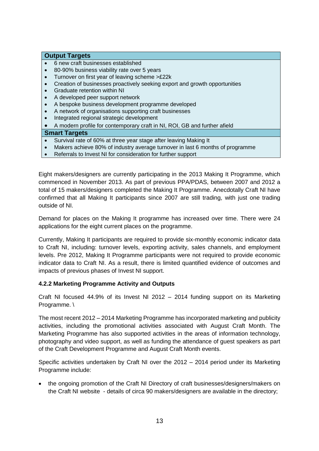#### **Output Targets**

- 6 new craft businesses established
- 80-90% business viability rate over 5 years
- Turnover on first year of leaving scheme >£22k
- Creation of businesses proactively seeking export and growth opportunities
- Graduate retention within NI
- A developed peer support network
- A bespoke business development programme developed
- A network of organisations supporting craft businesses
- Integrated regional strategic development
- A modern profile for contemporary craft in NI, ROI, GB and further afield

#### **Smart Targets**

- Survival rate of 60% at three year stage after leaving Making It
- Makers achieve 80% of industry average turnover in last 6 months of programme
- Referrals to Invest NI for consideration for further support

Eight makers/designers are currently participating in the 2013 Making It Programme, which commenced in November 2013. As part of previous PPA/PDAS, between 2007 and 2012 a total of 15 makers/designers completed the Making It Programme. Anecdotally Craft NI have confirmed that all Making It participants since 2007 are still trading, with just one trading outside of NI.

Demand for places on the Making It programme has increased over time. There were 24 applications for the eight current places on the programme.

Currently, Making It participants are required to provide six-monthly economic indicator data to Craft NI, including: turnover levels, exporting activity, sales channels, and employment levels. Pre 2012, Making It Programme participants were not required to provide economic indicator data to Craft NI. As a result, there is limited quantified evidence of outcomes and impacts of previous phases of Invest NI support.

#### **4.2.2 Marketing Programme Activity and Outputs**

Craft NI focused 44.9% of its Invest NI 2012 – 2014 funding support on its Marketing Programme. \

The most recent 2012 – 2014 Marketing Programme has incorporated marketing and publicity activities, including the promotional activities associated with August Craft Month. The Marketing Programme has also supported activities in the areas of information technology, photography and video support, as well as funding the attendance of guest speakers as part of the Craft Development Programme and August Craft Month events.

Specific activities undertaken by Craft NI over the 2012 – 2014 period under its Marketing Programme include:

 the ongoing promotion of the Craft NI Directory of craft businesses/designers/makers on the Craft NI website - details of circa 90 makers/designers are available in the directory;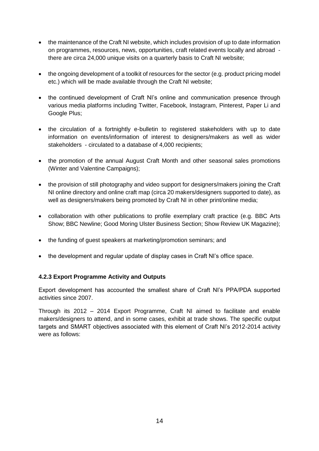- the maintenance of the Craft NI website, which includes provision of up to date information on programmes, resources, news, opportunities, craft related events locally and abroad there are circa 24,000 unique visits on a quarterly basis to Craft NI website;
- the ongoing development of a toolkit of resources for the sector (e.g. product pricing model etc.) which will be made available through the Craft NI website;
- the continued development of Craft NI's online and communication presence through various media platforms including Twitter, Facebook, Instagram, Pinterest, Paper Li and Google Plus;
- the circulation of a fortnightly e-bulletin to registered stakeholders with up to date information on events/information of interest to designers/makers as well as wider stakeholders - circulated to a database of 4,000 recipients;
- the promotion of the annual August Craft Month and other seasonal sales promotions (Winter and Valentine Campaigns);
- the provision of still photography and video support for designers/makers joining the Craft NI online directory and online craft map (circa 20 makers/designers supported to date), as well as designers/makers being promoted by Craft NI in other print/online media;
- collaboration with other publications to profile exemplary craft practice (e.g. BBC Arts Show; BBC Newline; Good Moring Ulster Business Section; Show Review UK Magazine);
- the funding of guest speakers at marketing/promotion seminars; and
- the development and regular update of display cases in Craft NI's office space.

## **4.2.3 Export Programme Activity and Outputs**

Export development has accounted the smallest share of Craft NI's PPA/PDA supported activities since 2007.

Through its 2012 – 2014 Export Programme, Craft NI aimed to facilitate and enable makers/designers to attend, and in some cases, exhibit at trade shows. The specific output targets and SMART objectives associated with this element of Craft NI's 2012-2014 activity were as follows: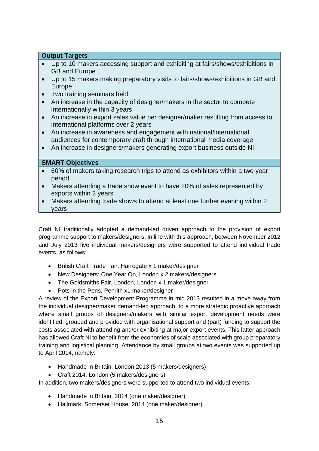## **Output Targets**

- Up to 10 makers accessing support and exhibiting at fairs/shows/exhibitions in GB and Europe
- Up to 15 makers making preparatory visits to fairs/shows/exhibitions in GB and Europe
- Two training seminars held
- An increase in the capacity of designer/makers in the sector to compete internationally within 3 years
- An increase in export sales value per designer/maker resulting from access to international platforms over 2 years
- An increase in awareness and engagement with national/international audiences for contemporary craft through international media coverage
- An increase in designers/makers generating export business outside NI

## **SMART Objectives**

- 60% of makers taking research trips to attend as exhibitors within a two year period
- Makers attending a trade show event to have 20% of sales represented by exports within 2 years
- Makers attending trade shows to attend at least one further evening within 2 years

Craft NI traditionally adopted a demand-led driven approach to the provision of export programme support to makers/designers. In line with this approach, between November 2012 and July 2013 five individual makers/designers were supported to attend individual trade events, as follows:

- British Craft Trade Fair, Harrogate x 1 maker/designer
- New Designers: One Year On, London x 2 makers/designers
- The Goldsmiths Fair, London, London x 1 maker/designer
- Pots in the Pens, Penrith x1 maker/designer

A review of the Export Development Programme in mid 2013 resulted in a move away from the individual designer/maker demand-led approach, to a more strategic proactive approach where small groups of designers/makers with similar export development needs were identified, grouped and provided with organisational support and (part) funding to support the costs associated with attending and/or exhibiting at major export events. This latter approach has allowed Craft NI to benefit from the economies of scale associated with group preparatory training and logistical planning. Attendance by small groups at two events was supported up to April 2014, namely:

- Handmade in Britain, London 2013 (5 makers/designers)
- Craft 2014, London (5 makers/designers)

In addition, two makers/designers were supported to attend two individual events:

- Handmade in Britain, 2014 (one maker/designer)
- Hallmark, Somerset House, 2014 (one maker/designer)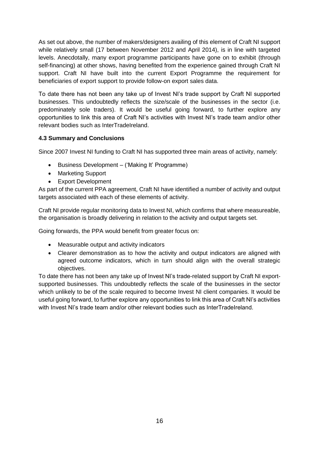As set out above, the number of makers/designers availing of this element of Craft NI support while relatively small (17 between November 2012 and April 2014), is in line with targeted levels. Anecdotally, many export programme participants have gone on to exhibit (through self-financing) at other shows, having benefited from the experience gained through Craft NI support. Craft NI have built into the current Export Programme the requirement for beneficiaries of export support to provide follow-on export sales data.

To date there has not been any take up of Invest NI's trade support by Craft NI supported businesses. This undoubtedly reflects the size/scale of the businesses in the sector (i.e. predominately sole traders). It would be useful going forward, to further explore any opportunities to link this area of Craft NI's activities with Invest NI's trade team and/or other relevant bodies such as InterTradeIreland.

## **4.3 Summary and Conclusions**

Since 2007 Invest NI funding to Craft NI has supported three main areas of activity, namely:

- Business Development ('Making It' Programme)
- Marketing Support
- Export Development

As part of the current PPA agreement, Craft NI have identified a number of activity and output targets associated with each of these elements of activity.

Craft NI provide regular monitoring data to Invest NI, which confirms that where measureable, the organisation is broadly delivering in relation to the activity and output targets set.

Going forwards, the PPA would benefit from greater focus on:

- Measurable output and activity indicators
- Clearer demonstration as to how the activity and output indicators are aligned with agreed outcome indicators, which in turn should align with the overall strategic objectives.

To date there has not been any take up of Invest NI's trade-related support by Craft NI exportsupported businesses. This undoubtedly reflects the scale of the businesses in the sector which unlikely to be of the scale required to become Invest NI client companies. It would be useful going forward, to further explore any opportunities to link this area of Craft NI's activities with Invest NI's trade team and/or other relevant bodies such as InterTradeIreland.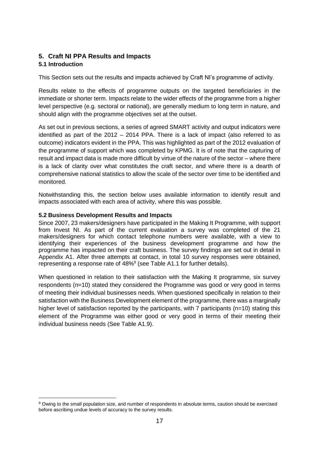#### **5. Craft NI PPA Results and Impacts 5.1 Introduction**

This Section sets out the results and impacts achieved by Craft NI's programme of activity.

Results relate to the effects of programme outputs on the targeted beneficiaries in the immediate or shorter term. Impacts relate to the wider effects of the programme from a higher level perspective (e.g. sectoral or national), are generally medium to long term in nature, and should align with the programme objectives set at the outset.

As set out in previous sections, a series of agreed SMART activity and output indicators were identified as part of the 2012 – 2014 PPA. There is a lack of impact (also referred to as outcome) indicators evident in the PPA. This was highlighted as part of the 2012 evaluation of the programme of support which was completed by KPMG. It is of note that the capturing of result and impact data is made more difficult by virtue of the nature of the sector – where there is a lack of clarity over what constitutes the craft sector, and where there is a dearth of comprehensive national statistics to allow the scale of the sector over time to be identified and monitored.

Notwithstanding this, the section below uses available information to identify result and impacts associated with each area of activity, where this was possible.

#### **5.2 Business Development Results and Impacts**

**.** 

Since 2007, 23 makers/designers have participated in the Making It Programme, with support from Invest NI. As part of the current evaluation a survey was completed of the 21 makers/designers for which contact telephone numbers were available, with a view to identifying their experiences of the business development programme and how the programme has impacted on their craft business. The survey findings are set out in detail in Appendix A1. After three attempts at contact, in total 10 survey responses were obtained, representing a response rate of  $48\%$ <sup>9</sup> (see Table A1.1 for further details).

When questioned in relation to their satisfaction with the Making It programme, six survey respondents (n=10) stated they considered the Programme was good or very good in terms of meeting their individual businesses needs. When questioned specifically in relation to their satisfaction with the Business Development element of the programme, there was a marginally higher level of satisfaction reported by the participants, with 7 participants (n=10) stating this element of the Programme was either good or very good in terms of their meeting their individual business needs (See Table A1.9).

<sup>9</sup> Owing to the small population size, and number of respondents in absolute terms, caution should be exercised before ascribing undue levels of accuracy to the survey results.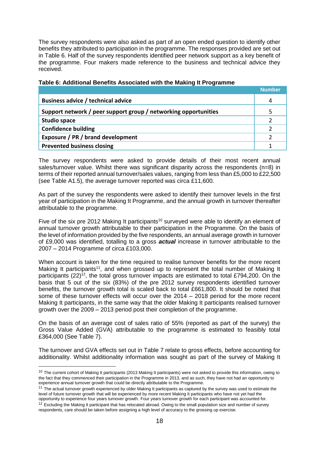The survey respondents were also asked as part of an open ended question to identify other benefits they attributed to participation in the programme. The responses provided are set out in Table 6. Half of the survey respondents identified peer network support as a key benefit of the programme. Four makers made reference to the business and technical advice they received.

|                                                                 | <b>Number</b> |
|-----------------------------------------------------------------|---------------|
| <b>Business advice / technical advice</b>                       | 4             |
| Support network / peer support group / networking opportunities | 5             |
| <b>Studio space</b>                                             |               |
| <b>Confidence building</b>                                      |               |
| Exposure / PR / brand development                               |               |
| <b>Prevented business closing</b>                               |               |

#### **Table 6: Additional Benefits Associated with the Making It Programme**

The survey respondents were asked to provide details of their most recent annual sales/turnover value. Whilst there was significant disparity across the respondents ( $n=8$ ) in terms of their reported annual turnover/sales values, ranging from less than £5,000 to £22,500 (see Table A1.5), the average turnover reported was circa £11,600.

As part of the survey the respondents were asked to identify their turnover levels in the first year of participation in the Making It Programme, and the annual growth in turnover thereafter attributable to the programme.

Five of the six pre 2012 Making It participants<sup>10</sup> surveyed were able to identify an element of annual turnover growth attributable to their participation in the Programme. On the basis of the level of information provided by the five respondents, an annual average growth in turnover of £9,000 was identified, totalling to a gross *actual* increase in turnover attributable to the 2007 – 2014 Programme of circa £103,000.

When account is taken for the time required to realise turnover benefits for the more recent Making It participants<sup>11</sup>, and when grossed up to represent the total number of Making It participants  $(22)^{12}$ , the total gross turnover impacts are estimated to total £794,200. On the basis that 5 out of the six (83%) of the pre 2012 survey respondents identified turnover benefits, the turnover growth total is scaled back to total £661,800. It should be noted that some of these turnover effects will occur over the 2014 – 2018 period for the more recent Making It participants, in the same way that the older Making It participants realised turnover growth over the 2009 – 2013 period post their completion of the programme.

On the basis of an average cost of sales ratio of 55% (reported as part of the survey) the Gross Value Added (GVA) attributable to the programme is estimated to feasibly total £364,000 (See Table 7).

The turnover and GVA effects set out in Table 7 relate to gross effects, before accounting for additionality. Whilst additionality information was sought as part of the survey of Making It

**.** 

<sup>&</sup>lt;sup>10</sup> The current cohort of Making It participants (2013 Making It participants) were not asked to provide this information, owing to the fact that they commenced their participation in the Programme in 2013, and as such, they have not had an opportunity to experience annual turnover growth that could be directly attributable to the Programme.

<sup>&</sup>lt;sup>11</sup> The actual turnover growth experienced by older Making It participants as captured by the survey was used to estimate the level of future turnover growth that will be experienced by more recent Making It participants who have not yet had the opportunity to experience four years turnover growth. Four years turnover growth for each participant was accounted for.

 $12$  Excluding the Making It participant that has relocated abroad. Owing to the small population size and number of survey respondents, care should be taken before assigning a high level of accuracy to the grossing up exercise.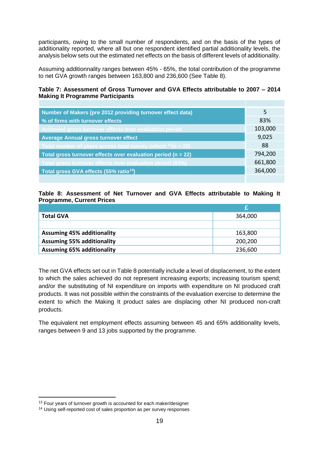participants, owing to the small number of respondents, and on the basis of the types of additionality reported, where all but one respondent identified partial additionality levels, the analysis below sets out the estimated net effects on the basis of different levels of additionality.

Assuming additionnality ranges between 45% - 65%, the total contribution of the programme to net GVA growth ranges between 163,800 and 236,600 (See Table 8).

#### **Table 7: Assessment of Gross Turnover and GVA Effects attributable to 2007 – 2014 Making It Programme Participants**

| Number of Makers (pre 2012 providing turnover effect data)       | .5      |
|------------------------------------------------------------------|---------|
| % of firms with turnover effects                                 | 83%     |
| Achieved gross turnover effects over evaluation period           | 103,000 |
| <b>Average Annual gross turnover effect</b>                      | 9,025   |
| Total number of years across total survey cohort $13(n = 22)$    | -88     |
| Total gross turnover effects over evaluation period ( $n = 22$ ) | 794,200 |
| Total gross turnover effects over evaluation period (83%)        | 661,800 |
| Total gross GVA effects (55% ratio <sup>14</sup> )               | 364,000 |
|                                                                  |         |

#### **Table 8: Assessment of Net Turnover and GVA Effects attributable to Making It Programme, Current Prices**

| <b>Total GVA</b>                  | 364,000 |
|-----------------------------------|---------|
|                                   |         |
| <b>Assuming 45% additionality</b> | 163,800 |
| <b>Assuming 55% additionality</b> | 200,200 |
| <b>Assuming 65% additionality</b> | 236,600 |

The net GVA effects set out in Table 8 potentially include a level of displacement, to the extent to which the sales achieved do not represent increasing exports; increasing tourism spend; and/or the substituting of NI expenditure on imports with expenditure on NI produced craft products. It was not possible within the constraints of the evaluation exercise to determine the extent to which the Making It product sales are displacing other NI produced non-craft products.

The equivalent net employment effects assuming between 45 and 65% additionality levels, ranges between 9 and 13 jobs supported by the programme.

**.** 

<sup>&</sup>lt;sup>13</sup> Four years of turnover growth is accounted for each maker/designer

<sup>14</sup> Using self-reported cost of sales proportion as per survey responses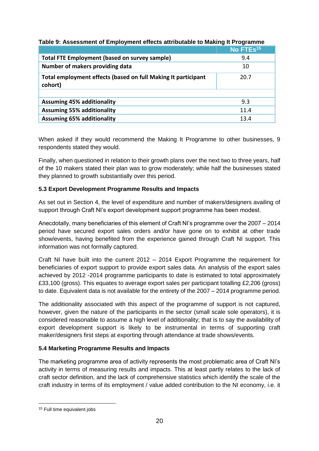|                                                                          | No FTEs <sup>15</sup> |
|--------------------------------------------------------------------------|-----------------------|
| Total FTE Employment (based on survey sample)                            | 9.4                   |
| Number of makers providing data                                          | 10                    |
| Total employment effects (based on full Making It participant<br>cohort) | 20.7                  |
|                                                                          |                       |
| <b>Assuming 45% additionality</b>                                        | 9.3                   |
| <b>Assuming 55% additionality</b>                                        | 11.4                  |
| <b>Assuming 65% additionality</b>                                        | 13.4                  |

## **Table 9: Assessment of Employment effects attributable to Making It Programme**

When asked if they would recommend the Making It Programme to other businesses, 9 respondents stated they would.

Finally, when questioned in relation to their growth plans over the next two to three years, half of the 10 makers stated their plan was to grow moderately; while half the businesses stated they planned to growth substantially over this period.

# **5.3 Export Development Programme Results and Impacts**

As set out in Section 4, the level of expenditure and number of makers/designers availing of support through Craft NI's export development support programme has been modest.

Anecdotally, many beneficiaries of this element of Craft NI's programme over the 2007 – 2014 period have secured export sales orders and/or have gone on to exhibit at other trade show/events, having benefited from the experience gained through Craft NI support. This information was not formally captured.

Craft NI have built into the current 2012 – 2014 Export Programme the requirement for beneficiaries of export support to provide export sales data. An analysis of the export sales achieved by 2012 -2014 programme participants to date is estimated to total approximately £33,100 (gross). This equates to average export sales per participant totalling £2,206 (gross) to date. Equivalent data is not available for the entirety of the 2007 – 2014 programme period.

The additionality associated with this aspect of the programme of support is not captured, however, given the nature of the participants in the sector (small scale sole operators), it is considered reasonable to assume a high level of additionality; that is to say the availability of export development support is likely to be instrumental in terms of supporting craft maker/designers first steps at exporting through attendance at trade shows/events.

# **5.4 Marketing Programme Results and Impacts**

The marketing programme area of activity represents the most problematic area of Craft NI's activity in terms of measuring results and impacts. This at least partly relates to the lack of craft sector definition, and the lack of comprehensive statistics which identify the scale of the craft industry in terms of its employment / value added contribution to the NI economy, i.e. it

**.** 

<sup>&</sup>lt;sup>15</sup> Full time equivalent jobs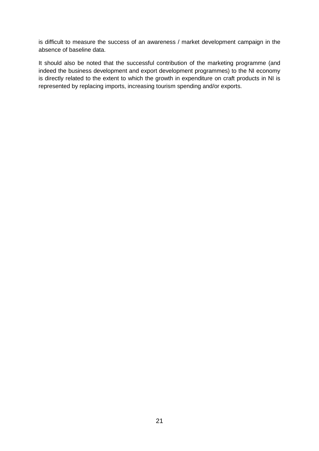is difficult to measure the success of an awareness / market development campaign in the absence of baseline data.

It should also be noted that the successful contribution of the marketing programme (and indeed the business development and export development programmes) to the NI economy is directly related to the extent to which the growth in expenditure on craft products in NI is represented by replacing imports, increasing tourism spending and/or exports.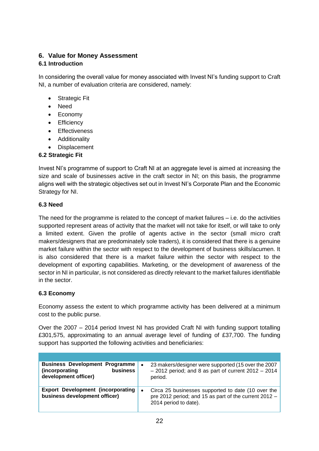# **6. Value for Money Assessment**

## **6.1 Introduction**

In considering the overall value for money associated with Invest NI's funding support to Craft NI, a number of evaluation criteria are considered, namely:

- Strategic Fit
- Need
- Economy
- Efficiency
- **•** Effectiveness
- **•** Additionality
- Displacement

## **6.2 Strategic Fit**

Invest NI's programme of support to Craft NI at an aggregate level is aimed at increasing the size and scale of businesses active in the craft sector in NI; on this basis, the programme aligns well with the strategic objectives set out in Invest NI's Corporate Plan and the Economic Strategy for NI.

## **6.3 Need**

The need for the programme is related to the concept of market failures – i.e. do the activities supported represent areas of activity that the market will not take for itself, or will take to only a limited extent. Given the profile of agents active in the sector (small micro craft makers/designers that are predominately sole traders), it is considered that there is a genuine market failure within the sector with respect to the development of business skills/acumen. It is also considered that there is a market failure within the sector with respect to the development of exporting capabilities. Marketing, or the development of awareness of the sector in NI in particular, is not considered as directly relevant to the market failures identifiable in the sector.

## **6.3 Economy**

Economy assess the extent to which programme activity has been delivered at a minimum cost to the public purse.

Over the 2007 – 2014 period Invest NI has provided Craft NI with funding support totalling £301,575, approximating to an annual average level of funding of £37,700. The funding support has supported the following activities and beneficiaries:

| <b>Business Development Programme</b><br><b>business</b><br>(incorporating<br>development officer) | $\bullet$ | 23 makers/designer were supported (15 over the 2007<br>$-$ 2012 period; and 8 as part of current 2012 - 2014<br>period.              |
|----------------------------------------------------------------------------------------------------|-----------|--------------------------------------------------------------------------------------------------------------------------------------|
| <b>Export Development (incorporating)</b><br>business development officer)                         | $\bullet$ | Circa 25 businesses supported to date (10 over the<br>pre 2012 period; and 15 as part of the current 2012 -<br>2014 period to date). |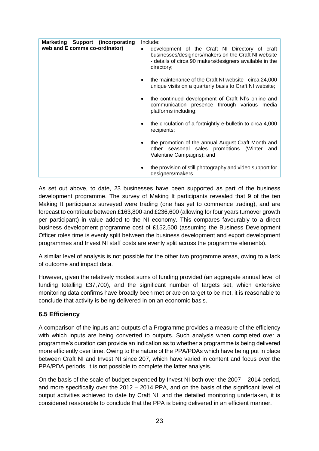| <b>Marketing Support (incorporating</b> | Include:                                                                                                                                                                                    |  |
|-----------------------------------------|---------------------------------------------------------------------------------------------------------------------------------------------------------------------------------------------|--|
| web and E comms co-ordinator)           | development of the Craft NI Directory of craft<br>$\bullet$<br>businesses/designers/makers on the Craft NI website<br>- details of circa 90 makers/designers available in the<br>directory; |  |
|                                         | the maintenance of the Craft NI website - circa 24,000<br>unique visits on a quarterly basis to Craft NI website;                                                                           |  |
|                                         | the continued development of Craft NI's online and<br>٠<br>communication presence through various media<br>platforms including;                                                             |  |
|                                         | the circulation of a fortnightly e-bulletin to circa 4,000<br>recipients;                                                                                                                   |  |
|                                         | the promotion of the annual August Craft Month and<br>other seasonal sales promotions (Winter<br>and<br>Valentine Campaigns); and                                                           |  |
|                                         | the provision of still photography and video support for<br>designers/makers.                                                                                                               |  |

As set out above, to date, 23 businesses have been supported as part of the business development programme. The survey of Making It participants revealed that 9 of the ten Making It participants surveyed were trading (one has yet to commence trading), and are forecast to contribute between £163,800 and £236,600 (allowing for four years turnover growth per participant) in value added to the NI economy. This compares favourably to a direct business development programme cost of £152,500 (assuming the Business Development Officer roles time is evenly split between the business development and export development programmes and Invest NI staff costs are evenly split across the programme elements).

A similar level of analysis is not possible for the other two programme areas, owing to a lack of outcome and impact data.

However, given the relatively modest sums of funding provided (an aggregate annual level of funding totalling £37,700), and the significant number of targets set, which extensive monitoring data confirms have broadly been met or are on target to be met, it is reasonable to conclude that activity is being delivered in on an economic basis.

# **6.5 Efficiency**

A comparison of the inputs and outputs of a Programme provides a measure of the efficiency with which inputs are being converted to outputs. Such analysis when completed over a programme's duration can provide an indication as to whether a programme is being delivered more efficiently over time. Owing to the nature of the PPA/PDAs which have being put in place between Craft NI and Invest NI since 207, which have varied in content and focus over the PPA/PDA periods, it is not possible to complete the latter analysis.

On the basis of the scale of budget expended by Invest NI both over the 2007 – 2014 period, and more specifically over the 2012 – 2014 PPA, and on the basis of the significant level of output activities achieved to date by Craft NI, and the detailed monitoring undertaken, it is considered reasonable to conclude that the PPA is being delivered in an efficient manner.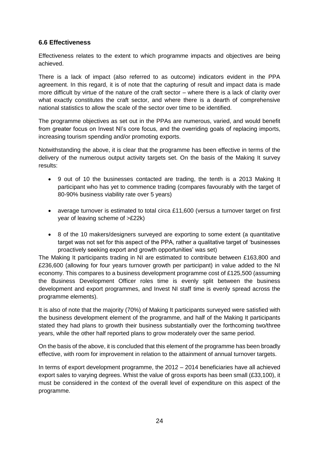## **6.6 Effectiveness**

Effectiveness relates to the extent to which programme impacts and objectives are being achieved.

There is a lack of impact (also referred to as outcome) indicators evident in the PPA agreement. In this regard, it is of note that the capturing of result and impact data is made more difficult by virtue of the nature of the craft sector – where there is a lack of clarity over what exactly constitutes the craft sector, and where there is a dearth of comprehensive national statistics to allow the scale of the sector over time to be identified.

The programme objectives as set out in the PPAs are numerous, varied, and would benefit from greater focus on Invest NI's core focus, and the overriding goals of replacing imports, increasing tourism spending and/or promoting exports.

Notwithstanding the above, it is clear that the programme has been effective in terms of the delivery of the numerous output activity targets set. On the basis of the Making It survey results:

- 9 out of 10 the businesses contacted are trading, the tenth is a 2013 Making It participant who has yet to commence trading (compares favourably with the target of 80-90% business viability rate over 5 years)
- average turnover is estimated to total circa £11,600 (versus a turnover target on first year of leaving scheme of >£22k)
- 8 of the 10 makers/designers surveyed are exporting to some extent (a quantitative target was not set for this aspect of the PPA, rather a qualitative target of 'businesses proactively seeking export and growth opportunities' was set)

The Making It participants trading in NI are estimated to contribute between £163,800 and £236,600 (allowing for four years turnover growth per participant) in value added to the NI economy. This compares to a business development programme cost of £125,500 (assuming the Business Development Officer roles time is evenly split between the business development and export programmes, and Invest NI staff time is evenly spread across the programme elements).

It is also of note that the majority (70%) of Making It participants surveyed were satisfied with the business development element of the programme, and half of the Making It participants stated they had plans to growth their business substantially over the forthcoming two/three years, while the other half reported plans to grow moderately over the same period.

On the basis of the above, it is concluded that this element of the programme has been broadly effective, with room for improvement in relation to the attainment of annual turnover targets.

In terms of export development programme, the 2012 – 2014 beneficiaries have all achieved export sales to varying degrees. Whist the value of gross exports has been small (£33,100), it must be considered in the context of the overall level of expenditure on this aspect of the programme.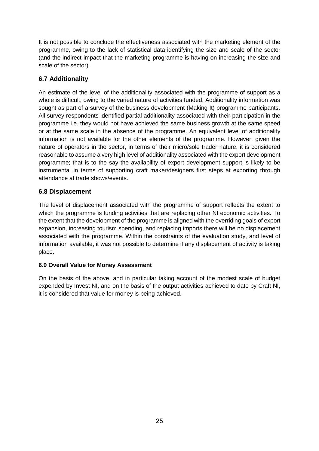It is not possible to conclude the effectiveness associated with the marketing element of the programme, owing to the lack of statistical data identifying the size and scale of the sector (and the indirect impact that the marketing programme is having on increasing the size and scale of the sector).

# **6.7 Additionality**

An estimate of the level of the additionality associated with the programme of support as a whole is difficult, owing to the varied nature of activities funded. Additionality information was sought as part of a survey of the business development (Making It) programme participants. All survey respondents identified partial additionality associated with their participation in the programme i.e. they would not have achieved the same business growth at the same speed or at the same scale in the absence of the programme. An equivalent level of additionality information is not available for the other elements of the programme. However, given the nature of operators in the sector, in terms of their micro/sole trader nature, it is considered reasonable to assume a very high level of additionality associated with the export development programme; that is to the say the availability of export development support is likely to be instrumental in terms of supporting craft maker/designers first steps at exporting through attendance at trade shows/events.

# **6.8 Displacement**

The level of displacement associated with the programme of support reflects the extent to which the programme is funding activities that are replacing other NI economic activities. To the extent that the development of the programme is aligned with the overriding goals of export expansion, increasing tourism spending, and replacing imports there will be no displacement associated with the programme. Within the constraints of the evaluation study, and level of information available, it was not possible to determine if any displacement of activity is taking place.

# **6.9 Overall Value for Money Assessment**

On the basis of the above, and in particular taking account of the modest scale of budget expended by Invest NI, and on the basis of the output activities achieved to date by Craft NI, it is considered that value for money is being achieved.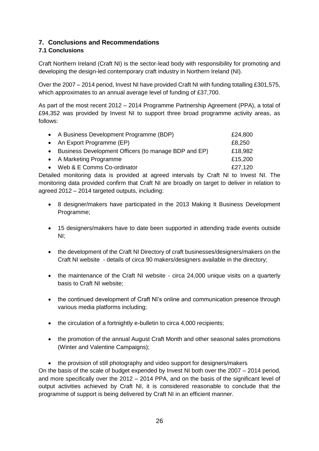# **7. Conclusions and Recommendations**

# **7.1 Conclusions**

Craft Northern Ireland (Craft NI) is the sector-lead body with responsibility for promoting and developing the design-led contemporary craft industry in Northern Ireland (NI).

Over the 2007 – 2014 period, Invest NI have provided Craft NI with funding totalling £301,575, which approximates to an annual average level of funding of £37,700.

As part of the most recent 2012 – 2014 Programme Partnership Agreement (PPA), a total of £94,352 was provided by Invest NI to support three broad programme activity areas, as follows:

| • A Business Development Programme (BDP)               | £24,800 |
|--------------------------------------------------------|---------|
| • An Export Programme (EP)                             | £8,250  |
| • Business Development Officers (to manage BDP and EP) | £18,982 |
| • A Marketing Programme                                | £15,200 |
| • Web & E Comms Co-ordinator                           | £27,120 |
|                                                        |         |

Detailed monitoring data is provided at agreed intervals by Craft NI to Invest NI. The monitoring data provided confirm that Craft NI are broadly on target to deliver in relation to agreed 2012 – 2014 targeted outputs, including:

- 8 designer/makers have participated in the 2013 Making It Business Development Programme;
- 15 designers/makers have to date been supported in attending trade events outside NI;
- the development of the Craft NI Directory of craft businesses/designers/makers on the Craft NI website - details of circa 90 makers/designers available in the directory;
- the maintenance of the Craft NI website circa 24,000 unique visits on a quarterly basis to Craft NI website;
- the continued development of Craft NI's online and communication presence through various media platforms including;
- the circulation of a fortnightly e-bulletin to circa 4,000 recipients;
- the promotion of the annual August Craft Month and other seasonal sales promotions (Winter and Valentine Campaigns);
- the provision of still photography and video support for designers/makers

On the basis of the scale of budget expended by Invest NI both over the 2007 – 2014 period, and more specifically over the 2012 – 2014 PPA, and on the basis of the significant level of output activities achieved by Craft NI, it is considered reasonable to conclude that the programme of support is being delivered by Craft NI in an efficient manner.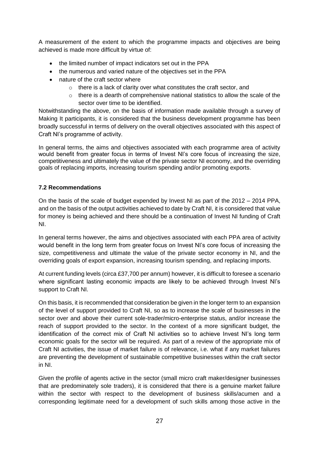A measurement of the extent to which the programme impacts and objectives are being achieved is made more difficult by virtue of:

- the limited number of impact indicators set out in the PPA
- the numerous and varied nature of the objectives set in the PPA
- nature of the craft sector where
	- o there is a lack of clarity over what constitutes the craft sector, and
	- o there is a dearth of comprehensive national statistics to allow the scale of the sector over time to be identified.

Notwithstanding the above, on the basis of information made available through a survey of Making It participants, it is considered that the business development programme has been broadly successful in terms of delivery on the overall objectives associated with this aspect of Craft NI's programme of activity.

In general terms, the aims and objectives associated with each programme area of activity would benefit from greater focus in terms of Invest NI's core focus of increasing the size, competitiveness and ultimately the value of the private sector NI economy, and the overriding goals of replacing imports, increasing tourism spending and/or promoting exports.

## **7.2 Recommendations**

On the basis of the scale of budget expended by Invest NI as part of the 2012 – 2014 PPA, and on the basis of the output activities achieved to date by Craft NI, it is considered that value for money is being achieved and there should be a continuation of Invest NI funding of Craft NI.

In general terms however, the aims and objectives associated with each PPA area of activity would benefit in the long term from greater focus on Invest NI's core focus of increasing the size, competitiveness and ultimate the value of the private sector economy in NI, and the overriding goals of export expansion, increasing tourism spending, and replacing imports.

At current funding levels (circa £37,700 per annum) however, it is difficult to foresee a scenario where significant lasting economic impacts are likely to be achieved through Invest NI's support to Craft NI.

On this basis, it is recommended that consideration be given in the longer term to an expansion of the level of support provided to Craft NI, so as to increase the scale of businesses in the sector over and above their current sole-trader/micro-enterprise status, and/or increase the reach of support provided to the sector. In the context of a more significant budget, the identification of the correct mix of Craft NI activities so to achieve Invest NI's long term economic goals for the sector will be required. As part of a review of the appropriate mix of Craft NI activities, the issue of market failure is of relevance, i.e. what if any market failures are preventing the development of sustainable competitive businesses within the craft sector in NI.

Given the profile of agents active in the sector (small micro craft maker/designer businesses that are predominately sole traders), it is considered that there is a genuine market failure within the sector with respect to the development of business skills/acumen and a corresponding legitimate need for a development of such skills among those active in the